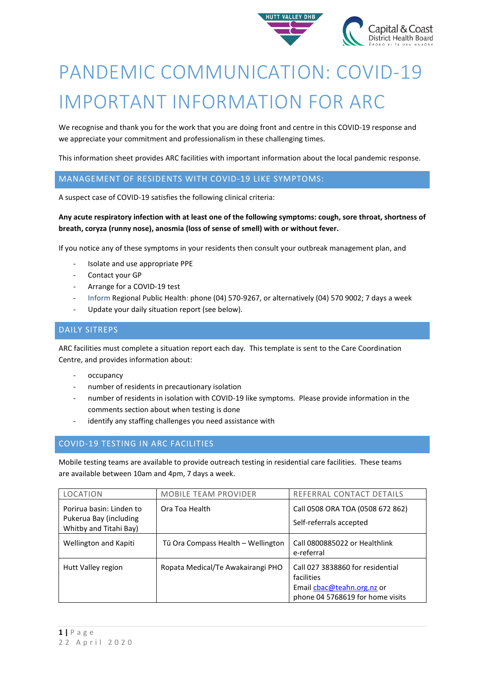

# PANDEMIC COMMUNICATION: COVID-19 IMPORTANT INFORMATION FOR ARC

We recognise and thank you for the work that you are doing front and centre in this COVID-19 response and we appreciate your commitment and professionalism in these challenging times.

This information sheet provides ARC facilities with important information about the local pandemic response.

# MANAGEMENT OF RESIDENTS WITH COVID-19 LIKE SYMPTOMS:

A suspect case of COVID-19 satisfies the following clinical criteria:

## **Any acute respiratory infection with at least one of the following symptoms: cough, sore throat, shortness of breath, coryza (runny nose), anosmia (loss of sense of smell) with or without fever.**

If you notice any of these symptoms in your residents then consult your outbreak management plan, and

- Isolate and use appropriate PPE
- Contact your GP
- Arrange for a COVID-19 test
- Inform Regional Public Health: phone (04) 570-9267, or alternatively (04) 570 9002; 7 days a week
- Update your daily situation report (see below).

## DAILY SITREPS

ARC facilities must complete a situation report each day. This template is sent to the Care Coordination Centre, and provides information about:

- occupancy
- number of residents in precautionary isolation
- number of residents in isolation with COVID-19 like symptoms. Please provide information in the comments section about when testing is done
- identify any staffing challenges you need assistance with

# COVID-19 TESTING IN ARC FACILITIES

Mobile testing teams are available to provide outreach testing in residential care facilities. These teams are available between 10am and 4pm, 7 days a week.

| LOCATION                                                                     | <b>MOBILE TEAM PROVIDER</b>        | REFERRAL CONTACT DETAILS                                                                                         |
|------------------------------------------------------------------------------|------------------------------------|------------------------------------------------------------------------------------------------------------------|
| Porirua basin: Linden to<br>Pukerua Bay (including<br>Whitby and Titahi Bay) | Ora Toa Health                     | Call 0508 ORA TOA (0508 672 862)<br>Self-referrals accepted                                                      |
| Wellington and Kapiti                                                        | Tū Ora Compass Health - Wellington | Call 0800885022 or Healthlink<br>e-referral                                                                      |
| Hutt Valley region                                                           | Ropata Medical/Te Awakairangi PHO  | Call 027 3838860 for residential<br>facilities<br>Email chac@teahn.org.nz or<br>phone 04 5768619 for home visits |